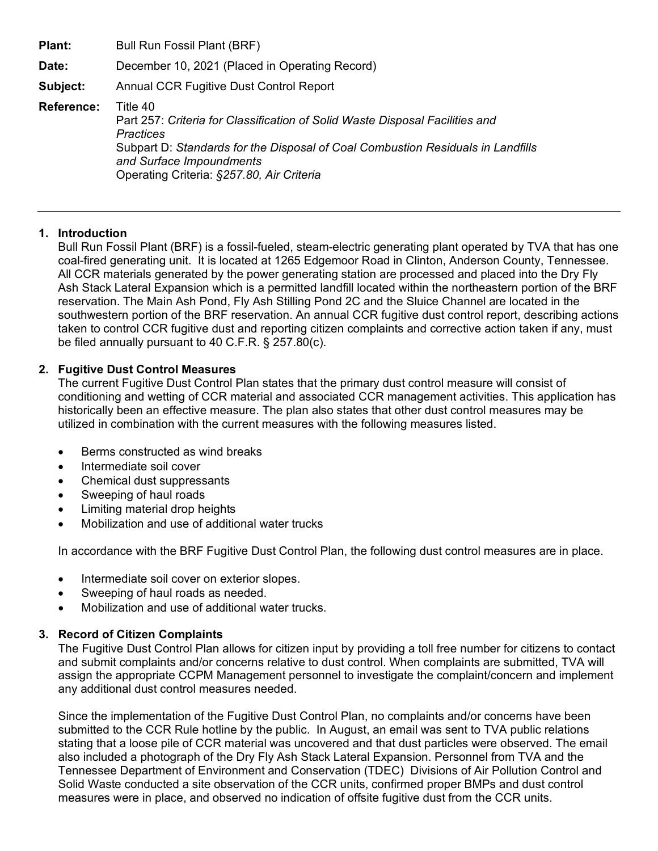**Date:** December 10, 2021 (Placed in Operating Record)

**Subject:** Annual CCR Fugitive Dust Control Report

**Reference:** Title 40

Part 257: *Criteria for Classification of Solid Waste Disposal Facilities and Practices* Subpart D: *Standards for the Disposal of Coal Combustion Residuals in Landfills and Surface Impoundments* Operating Criteria: *§257.80, Air Criteria*

## **1. Introduction**

Bull Run Fossil Plant (BRF) is a fossil-fueled, steam-electric generating plant operated by TVA that has one coal-fired generating unit. It is located at 1265 Edgemoor Road in Clinton, Anderson County, Tennessee. All CCR materials generated by the power generating station are processed and placed into the Dry Fly Ash Stack Lateral Expansion which is a permitted landfill located within the northeastern portion of the BRF reservation. The Main Ash Pond, Fly Ash Stilling Pond 2C and the Sluice Channel are located in the southwestern portion of the BRF reservation. An annual CCR fugitive dust control report, describing actions taken to control CCR fugitive dust and reporting citizen complaints and corrective action taken if any, must be filed annually pursuant to 40 C.F.R. § 257.80(c).

## **2. Fugitive Dust Control Measures**

The current Fugitive Dust Control Plan states that the primary dust control measure will consist of conditioning and wetting of CCR material and associated CCR management activities. This application has historically been an effective measure. The plan also states that other dust control measures may be utilized in combination with the current measures with the following measures listed.

- Berms constructed as wind breaks
- Intermediate soil cover
- Chemical dust suppressants
- Sweeping of haul roads
- Limiting material drop heights
- Mobilization and use of additional water trucks

In accordance with the BRF Fugitive Dust Control Plan, the following dust control measures are in place.

- Intermediate soil cover on exterior slopes.
- Sweeping of haul roads as needed.
- Mobilization and use of additional water trucks.

## **3. Record of Citizen Complaints**

The Fugitive Dust Control Plan allows for citizen input by providing a toll free number for citizens to contact and submit complaints and/or concerns relative to dust control. When complaints are submitted, TVA will assign the appropriate CCPM Management personnel to investigate the complaint/concern and implement any additional dust control measures needed.

Since the implementation of the Fugitive Dust Control Plan, no complaints and/or concerns have been submitted to the CCR Rule hotline by the public. In August, an email was sent to TVA public relations stating that a loose pile of CCR material was uncovered and that dust particles were observed. The email also included a photograph of the Dry Fly Ash Stack Lateral Expansion. Personnel from TVA and the Tennessee Department of Environment and Conservation (TDEC) Divisions of Air Pollution Control and Solid Waste conducted a site observation of the CCR units, confirmed proper BMPs and dust control measures were in place, and observed no indication of offsite fugitive dust from the CCR units.